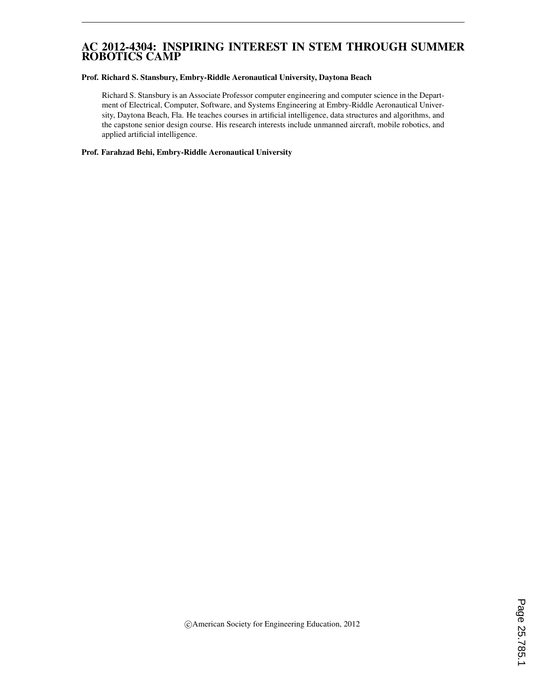### AC 2012-4304: INSPIRING INTEREST IN STEM THROUGH SUMMER ROBOTICS CAMP

#### Prof. Richard S. Stansbury, Embry-Riddle Aeronautical University, Daytona Beach

Richard S. Stansbury is an Associate Professor computer engineering and computer science in the Department of Electrical, Computer, Software, and Systems Engineering at Embry-Riddle Aeronautical University, Daytona Beach, Fla. He teaches courses in artificial intelligence, data structures and algorithms, and the capstone senior design course. His research interests include unmanned aircraft, mobile robotics, and applied artificial intelligence.

#### Prof. Farahzad Behi, Embry-Riddle Aeronautical University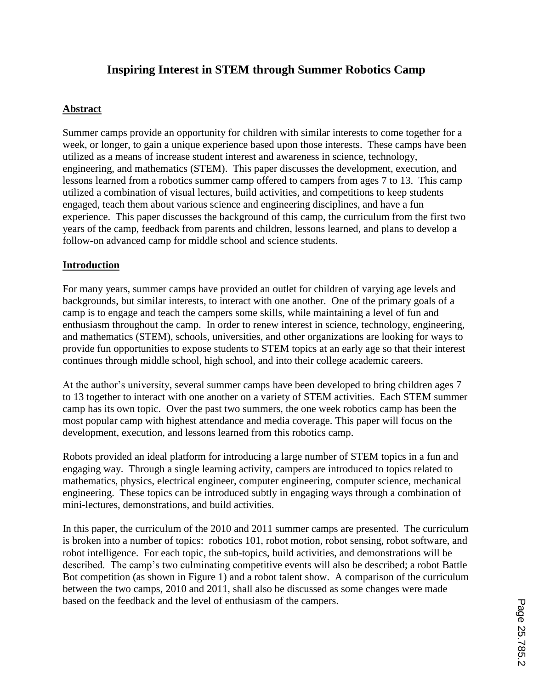# **Inspiring Interest in STEM through Summer Robotics Camp**

### **Abstract**

Summer camps provide an opportunity for children with similar interests to come together for a week, or longer, to gain a unique experience based upon those interests. These camps have been utilized as a means of increase student interest and awareness in science, technology, engineering, and mathematics (STEM). This paper discusses the development, execution, and lessons learned from a robotics summer camp offered to campers from ages 7 to 13. This camp utilized a combination of visual lectures, build activities, and competitions to keep students engaged, teach them about various science and engineering disciplines, and have a fun experience. This paper discusses the background of this camp, the curriculum from the first two years of the camp, feedback from parents and children, lessons learned, and plans to develop a follow-on advanced camp for middle school and science students.

#### **Introduction**

For many years, summer camps have provided an outlet for children of varying age levels and backgrounds, but similar interests, to interact with one another. One of the primary goals of a camp is to engage and teach the campers some skills, while maintaining a level of fun and enthusiasm throughout the camp. In order to renew interest in science, technology, engineering, and mathematics (STEM), schools, universities, and other organizations are looking for ways to provide fun opportunities to expose students to STEM topics at an early age so that their interest continues through middle school, high school, and into their college academic careers.

At the author's university, several summer camps have been developed to bring children ages 7 to 13 together to interact with one another on a variety of STEM activities. Each STEM summer camp has its own topic. Over the past two summers, the one week robotics camp has been the most popular camp with highest attendance and media coverage. This paper will focus on the development, execution, and lessons learned from this robotics camp.

Robots provided an ideal platform for introducing a large number of STEM topics in a fun and engaging way. Through a single learning activity, campers are introduced to topics related to mathematics, physics, electrical engineer, computer engineering, computer science, mechanical engineering. These topics can be introduced subtly in engaging ways through a combination of mini-lectures, demonstrations, and build activities.

In this paper, the curriculum of the 2010 and 2011 summer camps are presented. The curriculum is broken into a number of topics: robotics 101, robot motion, robot sensing, robot software, and robot intelligence. For each topic, the sub-topics, build activities, and demonstrations will be described. The camp's two culminating competitive events will also be described; a robot Battle Bot competition (as shown in Figure 1) and a robot talent show. A comparison of the curriculum between the two camps, 2010 and 2011, shall also be discussed as some changes were made based on the feedback and the level of enthusiasm of the campers.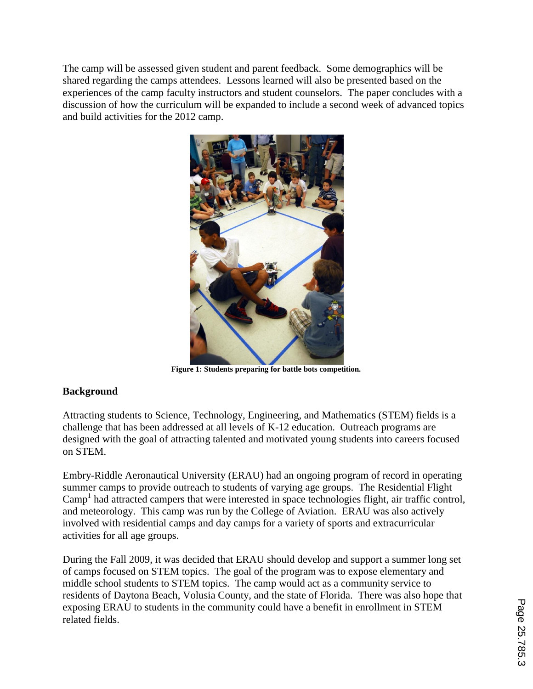The camp will be assessed given student and parent feedback. Some demographics will be shared regarding the camps attendees. Lessons learned will also be presented based on the experiences of the camp faculty instructors and student counselors. The paper concludes with a discussion of how the curriculum will be expanded to include a second week of advanced topics and build activities for the 2012 camp.



**Figure 1: Students preparing for battle bots competition.**

## **Background**

Attracting students to Science, Technology, Engineering, and Mathematics (STEM) fields is a challenge that has been addressed at all levels of K-12 education. Outreach programs are designed with the goal of attracting talented and motivated young students into careers focused on STEM.

Embry-Riddle Aeronautical University (ERAU) had an ongoing program of record in operating summer camps to provide outreach to students of varying age groups. The Residential Flight Camp<sup>1</sup> had attracted campers that were interested in space technologies flight, air traffic control, and meteorology. This camp was run by the College of Aviation. ERAU was also actively involved with residential camps and day camps for a variety of sports and extracurricular activities for all age groups.

During the Fall 2009, it was decided that ERAU should develop and support a summer long set of camps focused on STEM topics. The goal of the program was to expose elementary and middle school students to STEM topics. The camp would act as a community service to residents of Daytona Beach, Volusia County, and the state of Florida. There was also hope that exposing ERAU to students in the community could have a benefit in enrollment in STEM related fields.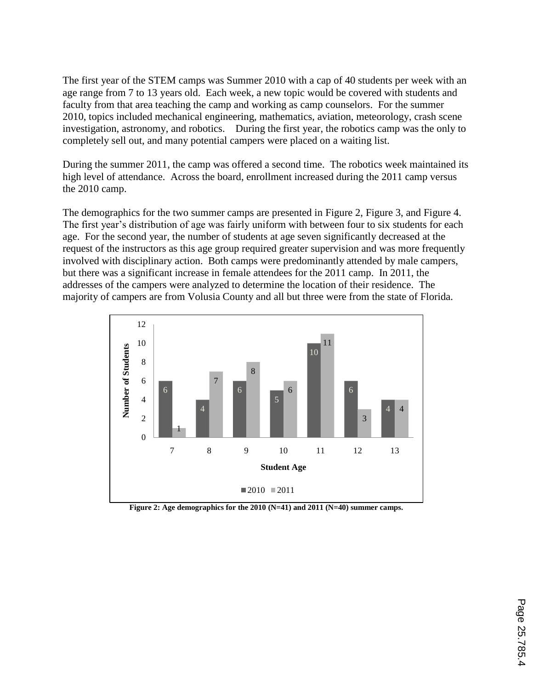The first year of the STEM camps was Summer 2010 with a cap of 40 students per week with an age range from 7 to 13 years old. Each week, a new topic would be covered with students and faculty from that area teaching the camp and working as camp counselors. For the summer 2010, topics included mechanical engineering, mathematics, aviation, meteorology, crash scene investigation, astronomy, and robotics. During the first year, the robotics camp was the only to completely sell out, and many potential campers were placed on a waiting list.

During the summer 2011, the camp was offered a second time. The robotics week maintained its high level of attendance. Across the board, enrollment increased during the 2011 camp versus the 2010 camp.

The demographics for the two summer camps are presented in Figure 2, Figure 3, and Figure 4. The first year's distribution of age was fairly uniform with between four to six students for each age. For the second year, the number of students at age seven significantly decreased at the request of the instructors as this age group required greater supervision and was more frequently involved with disciplinary action. Both camps were predominantly attended by male campers, but there was a significant increase in female attendees for the 2011 camp. In 2011, the addresses of the campers were analyzed to determine the location of their residence. The majority of campers are from Volusia County and all but three were from the state of Florida.



**Figure 2: Age demographics for the 2010 (N=41) and 2011 (N=40) summer camps.**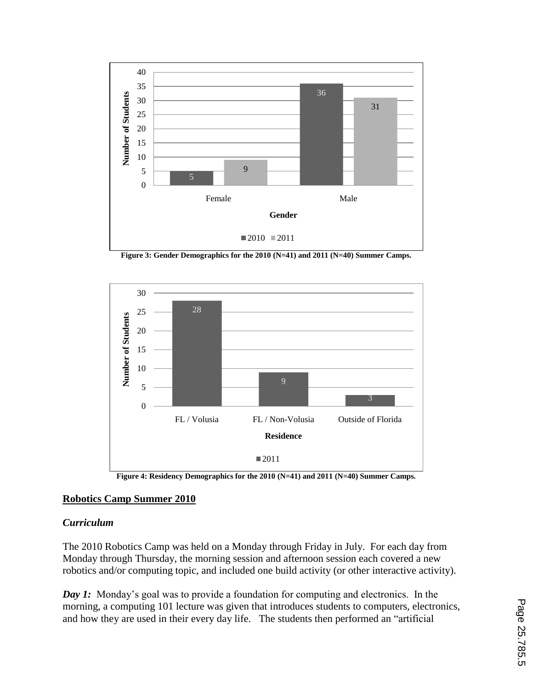

**Figure 3: Gender Demographics for the 2010 (N=41) and 2011 (N=40) Summer Camps.**



**Figure 4: Residency Demographics for the 2010 (N=41) and 2011 (N=40) Summer Camps.**

### **Robotics Camp Summer 2010**

#### *Curriculum*

The 2010 Robotics Camp was held on a Monday through Friday in July. For each day from Monday through Thursday, the morning session and afternoon session each covered a new robotics and/or computing topic, and included one build activity (or other interactive activity).

*Day 1:* Monday's goal was to provide a foundation for computing and electronics. In the morning, a computing 101 lecture was given that introduces students to computers, electronics, and how they are used in their every day life. The students then performed an "artificial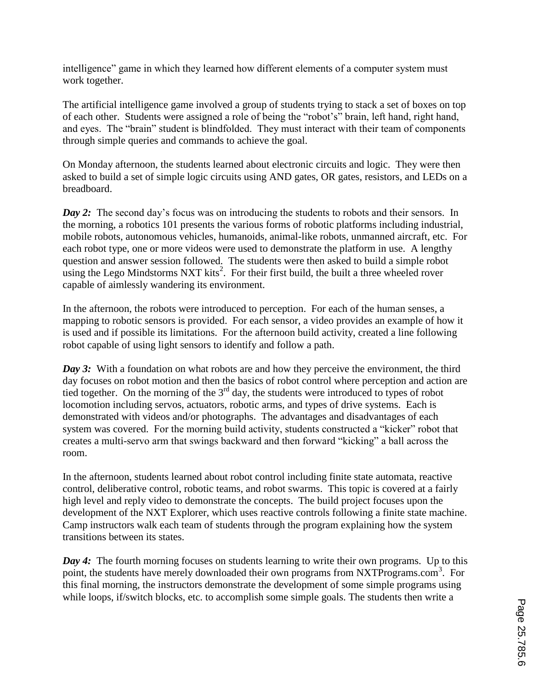intelligence" game in which they learned how different elements of a computer system must work together.

The artificial intelligence game involved a group of students trying to stack a set of boxes on top of each other. Students were assigned a role of being the "robot's" brain, left hand, right hand, and eyes. The "brain" student is blindfolded. They must interact with their team of components through simple queries and commands to achieve the goal.

On Monday afternoon, the students learned about electronic circuits and logic. They were then asked to build a set of simple logic circuits using AND gates, OR gates, resistors, and LEDs on a breadboard.

*Day 2:* The second day's focus was on introducing the students to robots and their sensors. In the morning, a robotics 101 presents the various forms of robotic platforms including industrial, mobile robots, autonomous vehicles, humanoids, animal-like robots, unmanned aircraft, etc. For each robot type, one or more videos were used to demonstrate the platform in use. A lengthy question and answer session followed. The students were then asked to build a simple robot  $\frac{1}{2}$  using the Lego Mindstorms NXT kits<sup>2</sup>. For their first build, the built a three wheeled rover capable of aimlessly wandering its environment.

In the afternoon, the robots were introduced to perception. For each of the human senses, a mapping to robotic sensors is provided. For each sensor, a video provides an example of how it is used and if possible its limitations. For the afternoon build activity, created a line following robot capable of using light sensors to identify and follow a path.

*Day 3:* With a foundation on what robots are and how they perceive the environment, the third day focuses on robot motion and then the basics of robot control where perception and action are tied together. On the morning of the  $3<sup>rd</sup>$  day, the students were introduced to types of robot locomotion including servos, actuators, robotic arms, and types of drive systems. Each is demonstrated with videos and/or photographs. The advantages and disadvantages of each system was covered. For the morning build activity, students constructed a "kicker" robot that creates a multi-servo arm that swings backward and then forward "kicking" a ball across the room.

In the afternoon, students learned about robot control including finite state automata, reactive control, deliberative control, robotic teams, and robot swarms. This topic is covered at a fairly high level and reply video to demonstrate the concepts. The build project focuses upon the development of the NXT Explorer, which uses reactive controls following a finite state machine. Camp instructors walk each team of students through the program explaining how the system transitions between its states.

*Day 4*: The fourth morning focuses on students learning to write their own programs. Up to this point, the students have merely downloaded their own programs from NXTPrograms.com<sup>3</sup>. For this final morning, the instructors demonstrate the development of some simple programs using while loops, if/switch blocks, etc. to accomplish some simple goals. The students then write a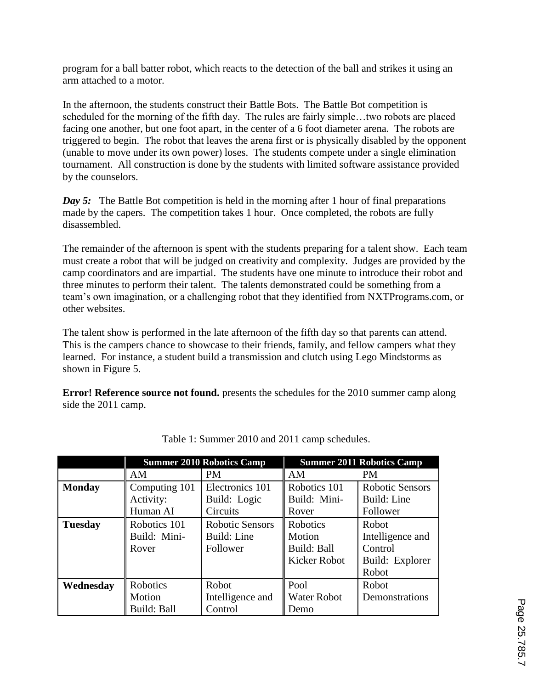program for a ball batter robot, which reacts to the detection of the ball and strikes it using an arm attached to a motor.

In the afternoon, the students construct their Battle Bots. The Battle Bot competition is scheduled for the morning of the fifth day. The rules are fairly simple…two robots are placed facing one another, but one foot apart, in the center of a 6 foot diameter arena. The robots are triggered to begin. The robot that leaves the arena first or is physically disabled by the opponent (unable to move under its own power) loses. The students compete under a single elimination tournament. All construction is done by the students with limited software assistance provided by the counselors.

*Day 5:* The Battle Bot competition is held in the morning after 1 hour of final preparations made by the capers. The competition takes 1 hour. Once completed, the robots are fully disassembled.

The remainder of the afternoon is spent with the students preparing for a talent show. Each team must create a robot that will be judged on creativity and complexity. Judges are provided by the camp coordinators and are impartial. The students have one minute to introduce their robot and three minutes to perform their talent. The talents demonstrated could be something from a team's own imagination, or a challenging robot that they identified from NXTPrograms.com, or other websites.

The talent show is performed in the late afternoon of the fifth day so that parents can attend. This is the campers chance to showcase to their friends, family, and fellow campers what they learned. For instance, a student build a transmission and clutch using Lego Mindstorms as shown in Figure 5.

**Error! Reference source not found.** presents the schedules for the 2010 summer camp along side the 2011 camp.

|                | <b>Summer 2010 Robotics Camp</b> |                        | <b>Summer 2011 Robotics Camp</b> |                        |
|----------------|----------------------------------|------------------------|----------------------------------|------------------------|
|                | AM                               | <b>PM</b>              | AM                               | <b>PM</b>              |
| <b>Monday</b>  | Computing 101                    | Electronics 101        | Robotics 101                     | <b>Robotic Sensors</b> |
|                | Activity:                        | Build: Logic           | Build: Mini-                     | Build: Line            |
|                | Human AI                         | Circuits               | Rover                            | Follower               |
| <b>Tuesday</b> | Robotics 101                     | <b>Robotic Sensors</b> | Robotics                         | Robot                  |
|                | Build: Mini-                     | Build: Line            | Motion                           | Intelligence and       |
|                | Rover                            | Follower               | Build: Ball                      | Control                |
|                |                                  |                        | Kicker Robot                     | Build: Explorer        |
|                |                                  |                        |                                  | Robot                  |
| Wednesday      | Robotics                         | Robot                  | Pool                             | Robot                  |
|                | Motion                           | Intelligence and       | <b>Water Robot</b>               | Demonstrations         |
|                | Build: Ball                      | Control                | Demo                             |                        |

Table 1: Summer 2010 and 2011 camp schedules.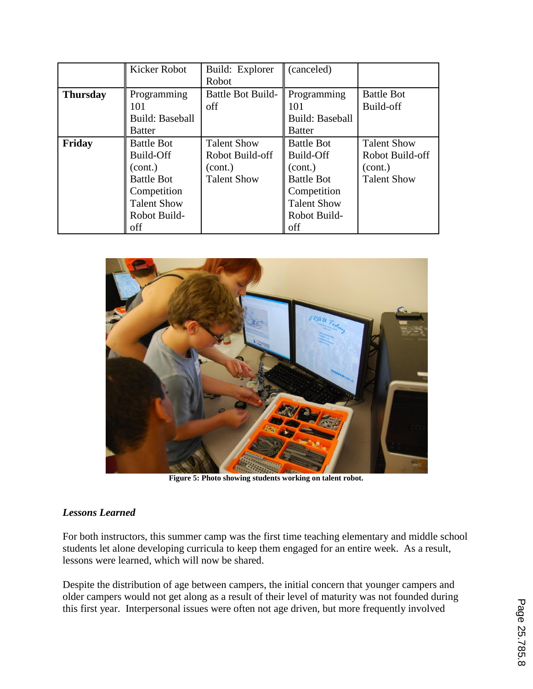|                 | Kicker Robot           | Build: Explorer          | (canceled)             |                    |
|-----------------|------------------------|--------------------------|------------------------|--------------------|
|                 |                        | Robot                    |                        |                    |
| <b>Thursday</b> | Programming            | <b>Battle Bot Build-</b> | Programming            | <b>Battle Bot</b>  |
|                 | 01                     | off                      | 101                    | Build-off          |
|                 | <b>Build: Baseball</b> |                          | <b>Build: Baseball</b> |                    |
|                 | <b>Batter</b>          |                          | <b>Batter</b>          |                    |
| Friday          | <b>Battle Bot</b>      | <b>Talent Show</b>       | <b>Battle Bot</b>      | <b>Talent Show</b> |
|                 | Build-Off              | Robot Build-off          | Build-Off              | Robot Build-off    |
|                 | (cont.)                | (cont.)                  | (cont.)                | (cont.)            |
|                 | <b>Battle Bot</b>      | <b>Talent Show</b>       | <b>Battle Bot</b>      | <b>Talent Show</b> |
|                 | Competition            |                          | Competition            |                    |
|                 | <b>Talent Show</b>     |                          | <b>Talent Show</b>     |                    |
|                 | Robot Build-           |                          | Robot Build-           |                    |
|                 | off                    |                          | off                    |                    |



**Figure 5: Photo showing students working on talent robot.**

### *Lessons Learned*

For both instructors, this summer camp was the first time teaching elementary and middle school students let alone developing curricula to keep them engaged for an entire week. As a result, lessons were learned, which will now be shared.

Despite the distribution of age between campers, the initial concern that younger campers and older campers would not get along as a result of their level of maturity was not founded during this first year. Interpersonal issues were often not age driven, but more frequently involved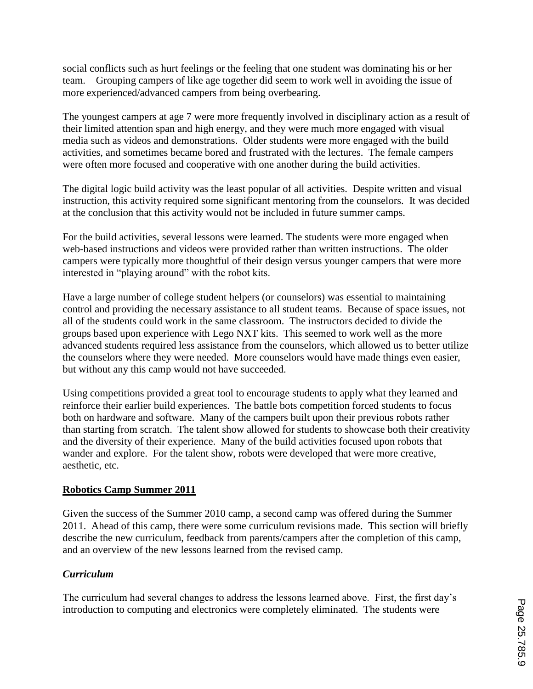social conflicts such as hurt feelings or the feeling that one student was dominating his or her team. Grouping campers of like age together did seem to work well in avoiding the issue of more experienced/advanced campers from being overbearing.

The youngest campers at age 7 were more frequently involved in disciplinary action as a result of their limited attention span and high energy, and they were much more engaged with visual media such as videos and demonstrations. Older students were more engaged with the build activities, and sometimes became bored and frustrated with the lectures. The female campers were often more focused and cooperative with one another during the build activities.

The digital logic build activity was the least popular of all activities. Despite written and visual instruction, this activity required some significant mentoring from the counselors. It was decided at the conclusion that this activity would not be included in future summer camps.

For the build activities, several lessons were learned. The students were more engaged when web-based instructions and videos were provided rather than written instructions. The older campers were typically more thoughtful of their design versus younger campers that were more interested in "playing around" with the robot kits.

Have a large number of college student helpers (or counselors) was essential to maintaining control and providing the necessary assistance to all student teams. Because of space issues, not all of the students could work in the same classroom. The instructors decided to divide the groups based upon experience with Lego NXT kits. This seemed to work well as the more advanced students required less assistance from the counselors, which allowed us to better utilize the counselors where they were needed. More counselors would have made things even easier, but without any this camp would not have succeeded.

Using competitions provided a great tool to encourage students to apply what they learned and reinforce their earlier build experiences. The battle bots competition forced students to focus both on hardware and software. Many of the campers built upon their previous robots rather than starting from scratch. The talent show allowed for students to showcase both their creativity and the diversity of their experience. Many of the build activities focused upon robots that wander and explore. For the talent show, robots were developed that were more creative, aesthetic, etc.

### **Robotics Camp Summer 2011**

Given the success of the Summer 2010 camp, a second camp was offered during the Summer 2011. Ahead of this camp, there were some curriculum revisions made. This section will briefly describe the new curriculum, feedback from parents/campers after the completion of this camp, and an overview of the new lessons learned from the revised camp.

### *Curriculum*

The curriculum had several changes to address the lessons learned above. First, the first day's introduction to computing and electronics were completely eliminated. The students were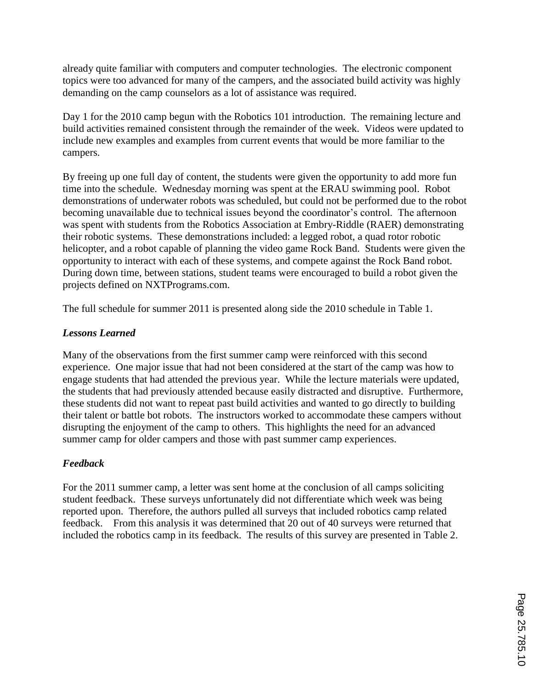already quite familiar with computers and computer technologies. The electronic component topics were too advanced for many of the campers, and the associated build activity was highly demanding on the camp counselors as a lot of assistance was required.

Day 1 for the 2010 camp begun with the Robotics 101 introduction. The remaining lecture and build activities remained consistent through the remainder of the week. Videos were updated to include new examples and examples from current events that would be more familiar to the campers.

By freeing up one full day of content, the students were given the opportunity to add more fun time into the schedule. Wednesday morning was spent at the ERAU swimming pool. Robot demonstrations of underwater robots was scheduled, but could not be performed due to the robot becoming unavailable due to technical issues beyond the coordinator's control. The afternoon was spent with students from the Robotics Association at Embry-Riddle (RAER) demonstrating their robotic systems. These demonstrations included: a legged robot, a quad rotor robotic helicopter, and a robot capable of planning the video game Rock Band. Students were given the opportunity to interact with each of these systems, and compete against the Rock Band robot. During down time, between stations, student teams were encouraged to build a robot given the projects defined on NXTPrograms.com.

The full schedule for summer 2011 is presented along side the 2010 schedule in Table 1.

## *Lessons Learned*

Many of the observations from the first summer camp were reinforced with this second experience. One major issue that had not been considered at the start of the camp was how to engage students that had attended the previous year. While the lecture materials were updated, the students that had previously attended because easily distracted and disruptive. Furthermore, these students did not want to repeat past build activities and wanted to go directly to building their talent or battle bot robots. The instructors worked to accommodate these campers without disrupting the enjoyment of the camp to others. This highlights the need for an advanced summer camp for older campers and those with past summer camp experiences.

## *Feedback*

For the 2011 summer camp, a letter was sent home at the conclusion of all camps soliciting student feedback. These surveys unfortunately did not differentiate which week was being reported upon. Therefore, the authors pulled all surveys that included robotics camp related feedback. From this analysis it was determined that 20 out of 40 surveys were returned that included the robotics camp in its feedback. The results of this survey are presented in Table 2.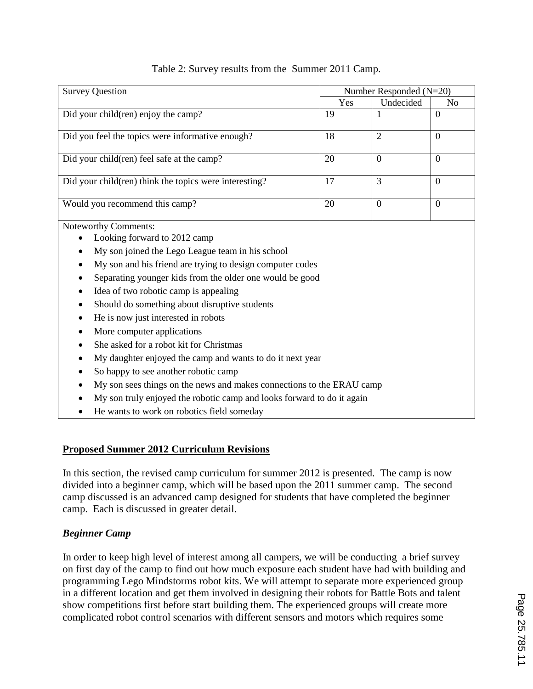| <b>Survey Question</b>                                    | Number Responded $(N=20)$ |                |                |  |  |  |
|-----------------------------------------------------------|---------------------------|----------------|----------------|--|--|--|
|                                                           | Yes                       | Undecided      | N <sub>0</sub> |  |  |  |
| Did your child(ren) enjoy the camp?                       | 19                        | 1              | $\overline{0}$ |  |  |  |
| Did you feel the topics were informative enough?          | 18                        | $\overline{2}$ | $\theta$       |  |  |  |
| Did your child (ren) feel safe at the camp?               | 20                        | $\theta$       | $\theta$       |  |  |  |
| Did your child(ren) think the topics were interesting?    | 17                        | 3              | $\mathbf{0}$   |  |  |  |
| Would you recommend this camp?                            | 20                        | $\theta$       | $\theta$       |  |  |  |
| <b>Noteworthy Comments:</b>                               |                           |                |                |  |  |  |
| Looking forward to 2012 camp                              |                           |                |                |  |  |  |
| My son joined the Lego League team in his school          |                           |                |                |  |  |  |
| My son and his friend are trying to design computer codes |                           |                |                |  |  |  |
| Separating younger kids from the older one would be good  |                           |                |                |  |  |  |
| Idea of two robotic camp is appealing                     |                           |                |                |  |  |  |
| Should do something about disruptive students             |                           |                |                |  |  |  |

- He is now just interested in robots
- More computer applications
- She asked for a robot kit for Christmas
- My daughter enjoyed the camp and wants to do it next year
- So happy to see another robotic camp
- My son sees things on the news and makes connections to the ERAU camp
- My son truly enjoyed the robotic camp and looks forward to do it again
- He wants to work on robotics field someday

### **Proposed Summer 2012 Curriculum Revisions**

In this section, the revised camp curriculum for summer 2012 is presented. The camp is now divided into a beginner camp, which will be based upon the 2011 summer camp. The second camp discussed is an advanced camp designed for students that have completed the beginner camp. Each is discussed in greater detail.

### *Beginner Camp*

In order to keep high level of interest among all campers, we will be conducting a brief survey on first day of the camp to find out how much exposure each student have had with building and programming Lego Mindstorms robot kits. We will attempt to separate more experienced group in a different location and get them involved in designing their robots for Battle Bots and talent show competitions first before start building them. The experienced groups will create more complicated robot control scenarios with different sensors and motors which requires some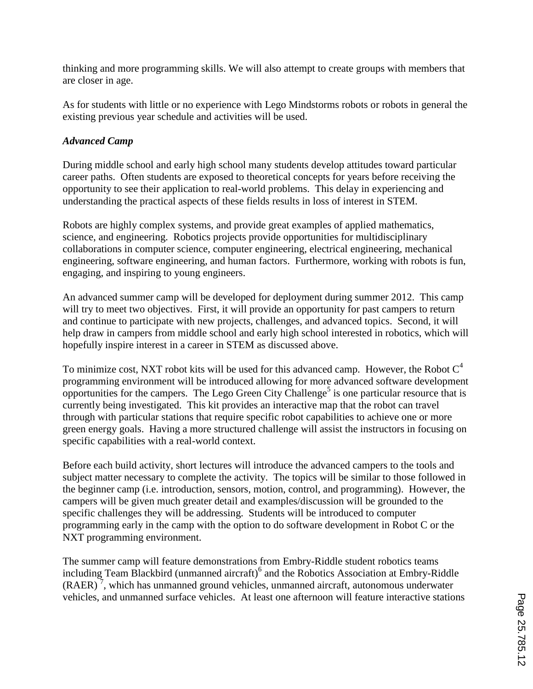thinking and more programming skills. We will also attempt to create groups with members that are closer in age.

As for students with little or no experience with Lego Mindstorms robots or robots in general the existing previous year schedule and activities will be used.

## *Advanced Camp*

During middle school and early high school many students develop attitudes toward particular career paths. Often students are exposed to theoretical concepts for years before receiving the opportunity to see their application to real-world problems. This delay in experiencing and understanding the practical aspects of these fields results in loss of interest in STEM.

Robots are highly complex systems, and provide great examples of applied mathematics, science, and engineering. Robotics projects provide opportunities for multidisciplinary collaborations in computer science, computer engineering, electrical engineering, mechanical engineering, software engineering, and human factors. Furthermore, working with robots is fun, engaging, and inspiring to young engineers.

An advanced summer camp will be developed for deployment during summer 2012. This camp will try to meet two objectives. First, it will provide an opportunity for past campers to return and continue to participate with new projects, challenges, and advanced topics. Second, it will help draw in campers from middle school and early high school interested in robotics, which will hopefully inspire interest in a career in STEM as discussed above.

To minimize cost, NXT robot kits will be used for this advanced camp. However, the Robot  $C<sup>4</sup>$ programming environment will be introduced allowing for more advanced software development opportunities for the campers. The Lego Green City Challenge<sup>5</sup> is one particular resource that is currently being investigated. This kit provides an interactive map that the robot can travel through with particular stations that require specific robot capabilities to achieve one or more green energy goals. Having a more structured challenge will assist the instructors in focusing on specific capabilities with a real-world context.

Before each build activity, short lectures will introduce the advanced campers to the tools and subject matter necessary to complete the activity. The topics will be similar to those followed in the beginner camp (i.e. introduction, sensors, motion, control, and programming). However, the campers will be given much greater detail and examples/discussion will be grounded to the specific challenges they will be addressing. Students will be introduced to computer programming early in the camp with the option to do software development in Robot C or the NXT programming environment.

The summer camp will feature demonstrations from Embry-Riddle student robotics teams including Team Blackbird (unmanned aircraft)<sup>6</sup> and the Robotics Association at Embry-Riddle  $(RAER)^7$ , which has unmanned ground vehicles, unmanned aircraft, autonomous underwater vehicles, and unmanned surface vehicles. At least one afternoon will feature interactive stations